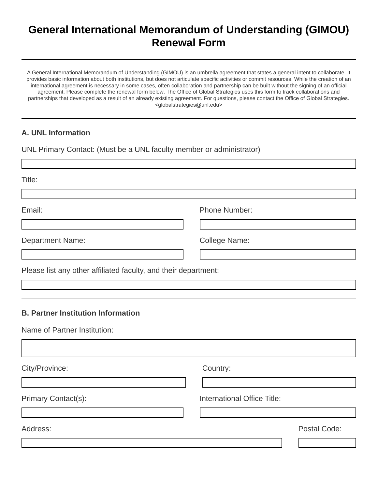## **General International Memorandum of Understanding (GIMOU) Renewal Form**

A General International Memorandum of Understanding (GIMOU) is an umbrella agreement that states a general intent to collaborate. It provides basic information about both institutions, but does not articulate specific activities or commit resources. While the creation of an international agreement is necessary in some cases, often collaboration and partnership can be built without the signing of an official agreement. Please complete the renewal form below. The Office of Global Strategies uses this form to track collaborations and partnerships that developed as a result of an already existing agreement. For questions, please contact the Office of Global Strategies. <globalstrategies@unl.edu>

## **A. UNL Information**

UNL Primary Contact: (Must be a UNL faculty member or administrator)

| Title:                                                                    |                                    |              |
|---------------------------------------------------------------------------|------------------------------------|--------------|
| Email:                                                                    | <b>Phone Number:</b>               |              |
| <b>Department Name:</b>                                                   | College Name:                      |              |
| Please list any other affiliated faculty, and their department:           |                                    |              |
| <b>B. Partner Institution Information</b><br>Name of Partner Institution: |                                    |              |
| City/Province:                                                            | Country:                           |              |
| Primary Contact(s):                                                       | <b>International Office Title:</b> |              |
| Address:                                                                  |                                    | Postal Code: |
|                                                                           |                                    |              |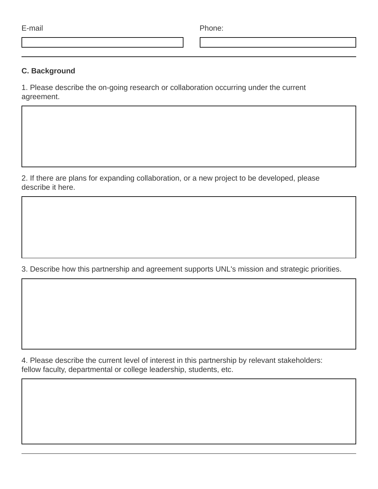| . . |  |
|-----|--|

E-mail Phone:

## **C. Background**

1. Please describe the on-going research or collaboration occurring under the current agreement.

2. If there are plans for expanding collaboration, or a new project to be developed, please describe it here.

3. Describe how this partnership and agreement supports UNL's mission and strategic priorities.

4. Please describe the current level of interest in this partnership by relevant stakeholders: fellow faculty, departmental or college leadership, students, etc.